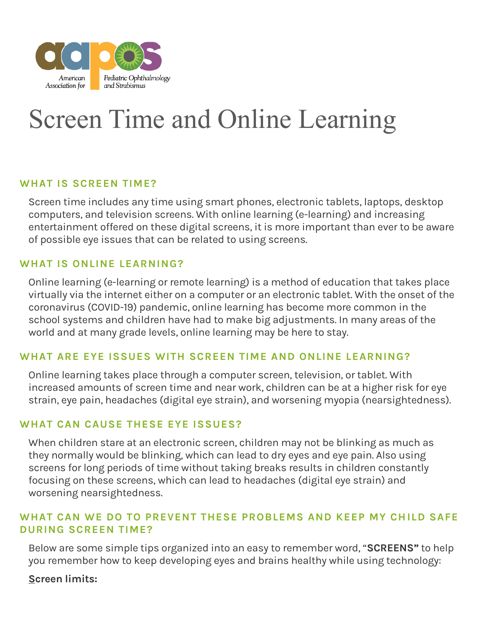

# Screen Time and Online Learning

## **WHAT IS SCREEN TIME?**

Screen time includes any time using smart phones, electronic tablets, laptops, desktop computers, and television screens. With online learning (e-learning) and increasing entertainment offered on these digital screens, it is more important than ever to be aware of possible eye issues that can be related to using screens.

## **WHAT IS ONLINE LEARNING?**

Online learning (e-learning or remote learning) is a method of education that takes place virtually via the internet either on a computer or an electronic tablet. With the onset of the coronavirus (COVID-19) pandemic, online learning has become more common in the school systems and children have had to make big adjustments. In many areas of the world and at many grade levels, online learning may be here to stay.

#### **WHAT ARE EYE ISSUES WITH SCREEN TIME AND ONLINE LEARNING?**

Online learning takes place through a computer screen, television, or tablet. With increased amounts of screen time and near work, children can be at a higher risk for eye strain, eye pain, headaches (digital eye strain), and worsening myopia (nearsightedness).

## **WHAT CAN CAUSE THESE EYE ISSUES?**

When children stare at an electronic screen, children may not be blinking as much as they normally would be blinking, which can lead to dry eyes and eye pain. Also using screens for long periods of time without taking breaks results in children constantly focusing on these screens, which can lead to headaches (digital eye strain) and worsening nearsightedness.

## **WHAT CAN WE DO TO PREVENT THESE PROBLEMS AND KEEP MY CH ILD SAFE DURING SCREEN TIME?**

Below are some simple tips organized into an easy to remember word, "**SCREENS"** to help you remember how to keep developing eyes and brains healthy while using technology:

#### **Screen limits:**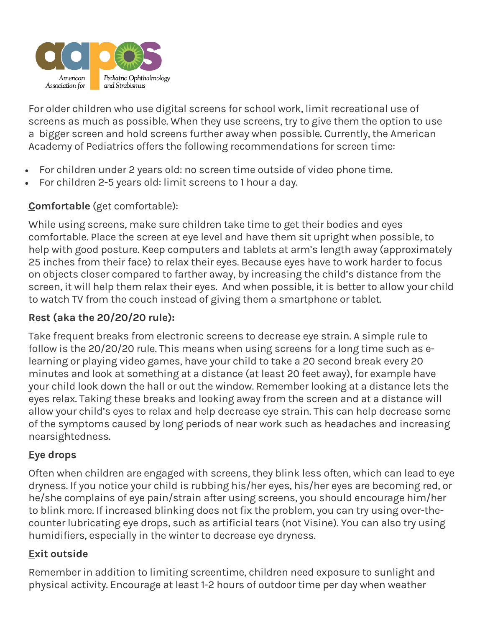

For older children who use digital screens for school work, limit recreational use of screens as much as possible. When they use screens, try to give them the option to use a bigger screen and hold screens further away when possible. Currently, the American Academy of Pediatrics offers the following recommendations for screen time:

- For children under 2 years old: no screen time outside of video phone time.
- For children 2-5 years old: limit screens to 1 hour a day.

# **Comfortable** (get comfortable):

While using screens, make sure children take time to get their bodies and eyes comfortable. Place the screen at eye level and have them sit upright when possible, to help with good posture. Keep computers and tablets at arm's length away (approximately 25 inches from their face) to relax their eyes. Because eyes have to work harder to focus on objects closer compared to farther away, by increasing the child's distance from the screen, it will help them relax their eyes. And when possible, it is better to allow your child to watch TV from the couch instead of giving them a smartphone or tablet.

# **Rest (aka the 20/20/20 rule):**

Take frequent breaks from electronic screens to decrease eye strain. A simple rule to follow is the 20/20/20 rule. This means when using screens for a long time such as elearning or playing video games, have your child to take a 20 second break every 20 minutes and look at something at a distance (at least 20 feet away), for example have your child look down the hall or out the window. Remember looking at a distance lets the eyes relax. Taking these breaks and looking away from the screen and at a distance will allow your child's eyes to relax and help decrease eye strain. This can help decrease some of the symptoms caused by long periods of near work such as headaches and increasing nearsightedness.

# **Eye drops**

Often when children are engaged with screens, they blink less often, which can lead to eye dryness. If you notice your child is rubbing his/her eyes, his/her eyes are becoming red, or he/she complains of eye pain/strain after using screens, you should encourage him/her to blink more. If increased blinking does not fix the problem, you can try using over-thecounter lubricating eye drops, such as artificial tears (not Visine). You can also try using humidifiers, especially in the winter to decrease eye dryness.

# **Exit outside**

Remember in addition to limiting screentime, children need exposure to sunlight and physical activity. Encourage at least 1-2 hours of outdoor time per day when weather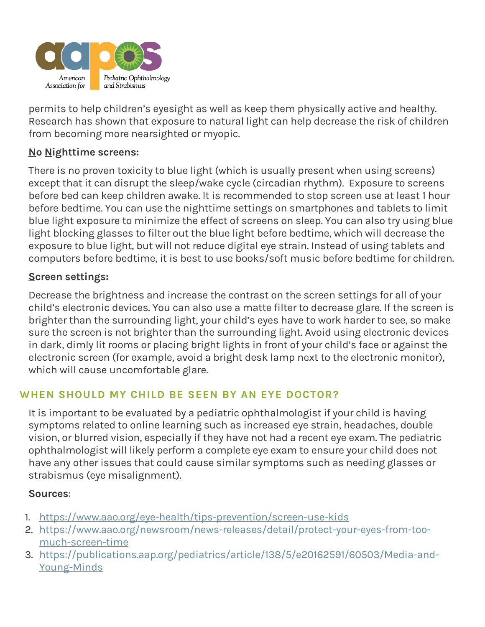

permits to help children's eyesight as well as keep them physically active and healthy. Research has shown that exposure to natural light can help decrease the risk of children from becoming more nearsighted or myopic.

## **No Nighttime screens:**

There is no proven toxicity to blue light (which is usually present when using screens) except that it can disrupt the sleep/wake cycle (circadian rhythm). Exposure to screens before bed can keep children awake. It is recommended to stop screen use at least 1 hour before bedtime. You can use the nighttime settings on smartphones and tablets to limit blue light exposure to minimize the effect of screens on sleep. You can also try using blue light blocking glasses to filter out the blue light before bedtime, which will decrease the exposure to blue light, but will not reduce digital eye strain. Instead of using tablets and computers before bedtime, it is best to use books/soft music before bedtime for children.

## **Screen settings:**

Decrease the brightness and increase the contrast on the screen settings for all of your child's electronic devices. You can also use a matte filter to decrease glare. If the screen is brighter than the surrounding light, your child's eyes have to work harder to see, so make sure the screen is not brighter than the surrounding light. Avoid using electronic devices in dark, dimly lit rooms or placing bright lights in front of your child's face or against the electronic screen (for example, avoid a bright desk lamp next to the electronic monitor), which will cause uncomfortable glare.

# **WHEN SHOULD MY CHILD BE SEEN BY AN EYE DOCTOR?**

It is important to be evaluated by a pediatric ophthalmologist if your child is having symptoms related to online learning such as increased eye strain, headaches, double vision, or blurred vision, especially if they have not had a recent eye exam. The pediatric ophthalmologist will likely perform a complete eye exam to ensure your child does not have any other issues that could cause similar symptoms such as needing glasses or strabismus (eye misalignment).

#### **Sources**:

- 1. <https://www.aao.org/eye-health/tips-prevention/screen-use-kids>
- 2. [https://www.aao.org/newsroom/news-releases/detail/protect-your-eyes-from-too](https://www.aao.org/newsroom/news-releases/detail/protect-your-eyes-from-too-much-screen-time)[much-screen-time](https://www.aao.org/newsroom/news-releases/detail/protect-your-eyes-from-too-much-screen-time)
- 3. [https://publications.aap.org/pediatrics/article/138/5/e20162591/60503/Media-and-](https://publications.aap.org/pediatrics/article/138/5/e20162591/60503/Media-and-Young-Minds)[Young-Minds](https://publications.aap.org/pediatrics/article/138/5/e20162591/60503/Media-and-Young-Minds)